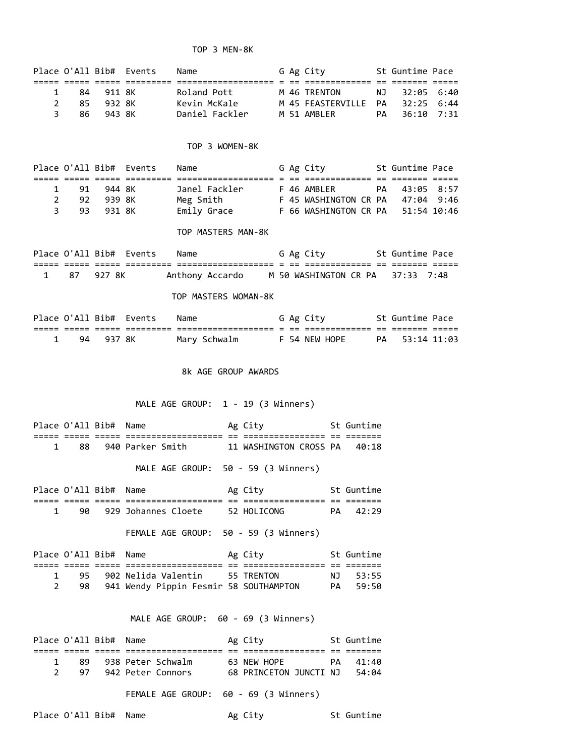### TOP 3 MEN-8K

|               |     |        | Place O'All Bib# Events | Name           |  | G Ag City            |    | St Guntime Pace |  |
|---------------|-----|--------|-------------------------|----------------|--|----------------------|----|-----------------|--|
|               |     |        |                         |                |  |                      |    |                 |  |
| 1             | 84  | 911 RK |                         | Roland Pott    |  | M 46 TRENTON         | NJ | 32:05 6:40      |  |
| $\mathcal{P}$ | 85. | 932 RK |                         | Kevin McKale   |  | M 45 FEASTERVILLE PA |    | $32:25$ 6:44    |  |
| 3.            | 86. | 943 SK |                         | Daniel Fackler |  | M 51 AMBIFR          | PA | $36:10$ 7:31    |  |

#### TOP 3 WOMEN-8K

|     |        | Place O'All Bib# Events | Name          |  | G Ag City             | St Guntime Pace |
|-----|--------|-------------------------|---------------|--|-----------------------|-----------------|
|     |        |                         |               |  |                       |                 |
| -91 | 944 RK |                         | Janel Fackler |  | F 46 AMBLER           | PA 43:05 8:57   |
| 92  | 939 RK |                         | Meg Smith     |  | F 45 WASHINGTON CR PA | 47:04 9:46      |
| 93. | 931 RK |                         | Emily Grace   |  | F 66 WASHINGTON CR PA | 51:54 10:46     |

#### TOP MASTERS MAN-8K

|  |           | Place O'All Bib# Events | Name |                 |  | G Ag City                        |  | St Guntime Pace |  |
|--|-----------|-------------------------|------|-----------------|--|----------------------------------|--|-----------------|--|
|  |           |                         |      |                 |  |                                  |  |                 |  |
|  | 87 927 8K |                         |      | Anthony Accardo |  | M 50 WASHINGTON CR PA 37:33 7:48 |  |                 |  |

### TOP MASTERS WOMAN-8K

|    |          | Place O'All Bib# Events | Name              |     | G Ag City     |     | St Guntime Pace |  |
|----|----------|-------------------------|-------------------|-----|---------------|-----|-----------------|--|
|    |          |                         | ----------------- | $-$ | _____________ | $-$ |                 |  |
| 94 | - 937 RK |                         | Mary Schwalm      |     | F 54 NEW HOPE |     | PA 53:14 11:03  |  |

## 8k AGE GROUP AWARDS

# MALE AGE GROUP: 1 - 19 (3 Winners)

| Place O'All Bib# Name |                     |            | Ag City                              |              | St Guntime |
|-----------------------|---------------------|------------|--------------------------------------|--------------|------------|
|                       | ___________________ | __<br>$ -$ | ________________<br>________________ | $ -$<br>$ -$ | _______    |
| 88                    | 940 Parker Smith    |            | 11 WASHINGTON CROSS PA               |              | 40:18      |

# MALE AGE GROUP: 50 - 59 (3 Winners)

|      | Place O'All Bib# | Name                                 |     | Ag City                       |            | St Guntime |
|------|------------------|--------------------------------------|-----|-------------------------------|------------|------------|
| ---- | _____            | --------------<br>__________________ | $-$ | __________<br>_______________ | __<br>$ -$ | _______    |
|      | 90               | 929 Johannes Cloete                  |     | 52 HOLICONG                   | РА         | 42.29      |

FEMALE AGE GROUP: 50 - 59 (3 Winners)

| Place O'All Bib# Name |                                        | Ag City    | St Guntime |
|-----------------------|----------------------------------------|------------|------------|
|                       |                                        |            |            |
| 95                    | 902 Nelida Valentin                    | 55 TRFNTON | NJ 53:55   |
|                       | 941 Wendy Pippin Fesmir 58 SOUTHAMPTON |            | PA 59:50   |

## MALE AGE GROUP: 60 - 69 (3 Winners)

| Place O'All Bib# Name |    |                   | Ag City                      |     | St Guntime |
|-----------------------|----|-------------------|------------------------------|-----|------------|
|                       |    |                   |                              |     |            |
|                       | 89 | 938 Peter Schwalm | 63 NEW HOPE                  | PA. | 41:40      |
|                       | 97 | 942 Peter Connors | 68 PRINCETON JUNCTI NJ 54:04 |     |            |
|                       |    |                   |                              |     |            |

FEMALE AGE GROUP: 60 - 69 (3 Winners)

Place O'All Bib# Name Ag City St Guntime